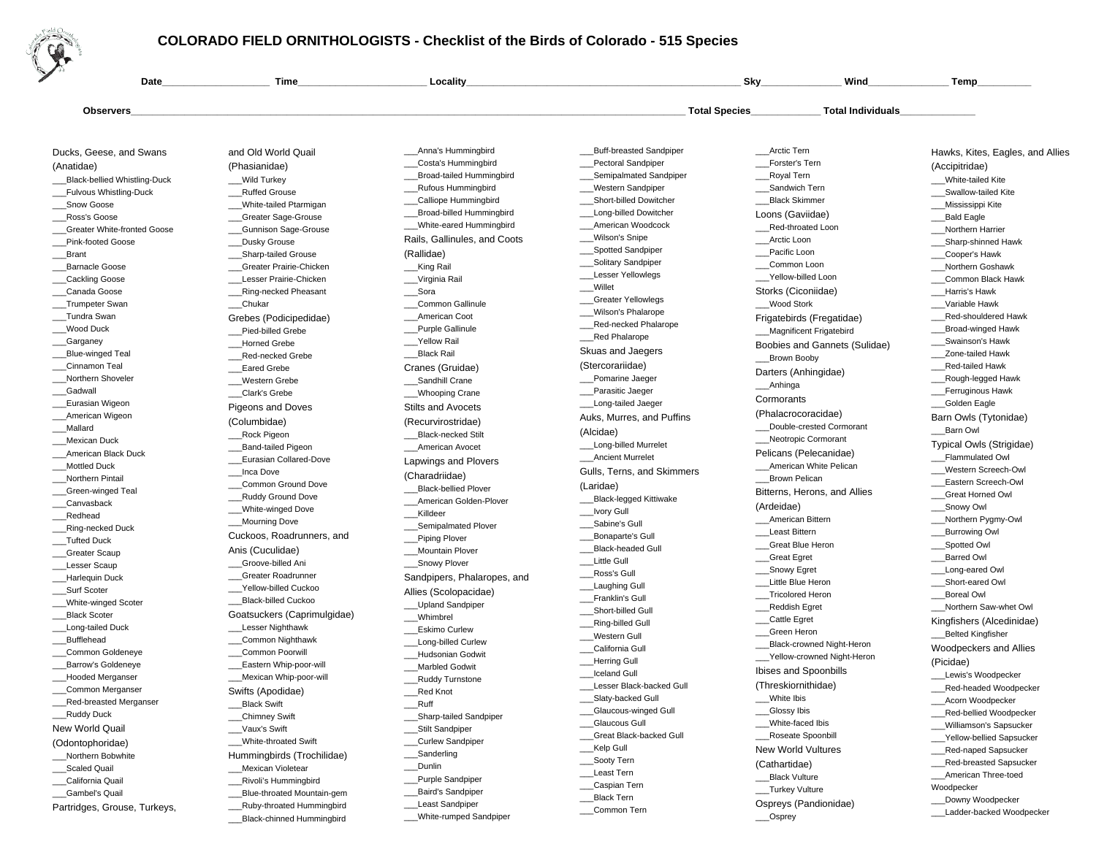

## **COLORADO FIELD ORNITHOLOGISTS - Checklist of the Birds of Colorado - 515 Species**

\_\_\_White-rumped Sandpiper

\_\_\_Black-chinned Hummingbird

| Date                                  | <b>Time</b>                               | <b>Locality</b>              |                            | Sky                           | Wind                     | Temp                                                 |
|---------------------------------------|-------------------------------------------|------------------------------|----------------------------|-------------------------------|--------------------------|------------------------------------------------------|
| <b>Observers</b>                      |                                           |                              |                            | <b>Total Species</b>          | <b>Total Individuals</b> |                                                      |
|                                       |                                           |                              |                            |                               |                          |                                                      |
| Ducks, Geese, and Swans               | and Old World Quail                       | _Anna's Hummingbird          | _Buff-breasted Sandpiper   | Arctic Tern                   |                          | Hawks, Kites, Eagles, and Allies                     |
| (Anatidae)                            | (Phasianidae)                             | Costa's Hummingbird          | Pectoral Sandpiper         | Forster's Tern                |                          | (Accipitridae)                                       |
| Black-bellied Whistling-Duck_         | Wild Turkey                               | Broad-tailed Hummingbird     | Semipalmated Sandpiper     | Royal Tern                    |                          | White-tailed Kite                                    |
| _Fulvous Whistling-Duck               | _Ruffed Grouse                            | <b>Rufous Hummingbird</b>    | Western Sandpiper          | Sandwich Tern                 |                          | Swallow-tailed Kite                                  |
| Snow Goose                            | White-tailed Ptarmigan                    | Calliope Hummingbird         | _Short-billed Dowitcher    | Black Skimmer                 |                          | _Mississippi Kite                                    |
| _Ross's Goose                         | <b>Greater Sage-Grouse</b>                | Broad-billed Hummingbird     | Long-billed Dowitcher      | Loons (Gaviidae)              |                          | Bald Eagle                                           |
| Greater White-fronted Goose           | <b>Gunnison Sage-Grouse</b>               | White-eared Hummingbird      | _American Woodcock         | Red-throated Loon             |                          | Northern Harrier                                     |
| <b>Pink-footed Goose</b>              | _Dusky Grouse                             | Rails, Gallinules, and Coots | Wilson's Snipe             | Arctic Loon                   |                          | ___Sharp-shinned Hawk                                |
| _Brant                                | _Sharp-tailed Grouse                      | (Rallidae)                   | _Spotted Sandpiper         | Pacific Loon                  |                          | _Cooper's Hawk                                       |
| Barnacle Goose                        | Greater Prairie-Chicken                   | ___King Rail                 | _Solitary Sandpiper        | Common Loon                   |                          | Northern Goshawk                                     |
| _Cackling Goose                       | Lesser Prairie-Chicken                    | Virginia Rail                | Lesser Yellowlegs          | __Yellow-billed Loon          |                          | Common Black Hawk                                    |
| Canada Goose                          | _Ring-necked Pheasant                     | __Sora                       | Willet                     | Storks (Ciconiidae)           |                          | Harris's Hawk                                        |
| _Trumpeter Swan                       | _Chukar                                   | Common Gallinule             | <b>Greater Yellowlegs</b>  | Wood Stork                    |                          | Variable Hawk                                        |
| __Tundra Swan                         | Grebes (Podicipedidae)                    | <b>American Coot</b>         | Wilson's Phalarope         | Frigatebirds (Fregatidae)     |                          | _Red-shouldered Hawk                                 |
| Wood Duck                             | Pied-billed Grebe                         | Purple Gallinule             | _Red-necked Phalarope      | __Magnificent Frigatebird     |                          | _Broad-winged Hawk                                   |
| __Garganey                            | <b>Horned Grebe</b>                       | __Yellow Rail                | _Red Phalarope             |                               |                          | Swainson's Hawk                                      |
| Blue-winged Teal                      | Red-necked Grebe                          | Black Rail                   | Skuas and Jaegers          | Boobies and Gannets (Sulidae) |                          | Zone-tailed Hawk                                     |
| Cinnamon Teal                         | <b>Eared Grebe</b>                        | Cranes (Gruidae)             | (Stercorariidae)           | __Brown Booby                 |                          | Red-tailed Hawk                                      |
| Northern Shoveler                     | Western Grebe                             | Sandhill Crane               | Pomarine Jaeger            | Darters (Anhingidae)          |                          | Rough-legged Hawk                                    |
| __Gadwall                             | Clark's Grebe                             | Whooping Crane               | Parasitic Jaeger           | Anhinga                       |                          | Ferruginous Hawk                                     |
| Eurasian Wigeon                       |                                           |                              | __Long-tailed Jaeger       | Cormorants                    |                          | _Golden Eagle                                        |
| American Wigeon                       | Pigeons and Doves                         | <b>Stilts and Avocets</b>    | Auks, Murres, and Puffins  | (Phalacrocoracidae)           |                          | Barn Owls (Tytonidae)                                |
| _Mallard                              | (Columbidae)                              | (Recurvirostridae)           |                            | Double-crested Cormorant      |                          | _Barn Owl                                            |
| _Mexican Duck                         | Rock Pigeon                               | Black-necked Stilt           | (Alcidae)                  | __Neotropic Cormorant         |                          |                                                      |
| American Black Duck                   | _Band-tailed Pigeon                       | _American Avocet             | ___Long-billed Murrelet    | Pelicans (Pelecanidae)        |                          | Typical Owls (Strigidae)                             |
| <b>Mottled Duck</b>                   | Eurasian Collared-Dove                    | Lapwings and Plovers         | <b>Ancient Murrelet</b>    | __American White Pelican      |                          | Flammulated Owl                                      |
| Northern Pintail                      | __Inca Dove                               | (Charadriidae)               | Gulls, Terns, and Skimmers | Brown Pelican                 |                          | Western Screech-Owl                                  |
| _Green-winged Teal                    | Common Ground Dove                        | <b>Black-bellied Plover</b>  | (Laridae)                  |                               |                          | Eastern Screech-Owl                                  |
| _Canvasback                           | _Ruddy Ground Dove                        | American Golden-Plover       | _Black-legged Kittiwake    | Bitterns, Herons, and Allies  |                          | Great Horned Owl                                     |
| _Redhead                              | ___White-winged Dove                      | Killdeer                     | _Ivory Gull                | (Ardeidae)                    |                          | ___Snowy Owl                                         |
| _Ring-necked Duck                     | Mourning Dove                             | ___Semipalmated Plover       | ___Sabine's Gull           | <b>American Bittern</b>       |                          | _Northern Pygmy-Owl                                  |
| _Tufted Duck                          | Cuckoos, Roadrunners, and                 | Piping Plover                | Bonaparte's Gull           | Least Bittern                 |                          | _Burrowing Owl                                       |
| Greater Scaup                         | Anis (Cuculidae)                          | Mountain Plover              | <b>Black-headed Gull</b>   | Great Blue Heron              |                          | Spotted Owl                                          |
| Lesser Scaup                          | Groove-billed Ani                         | _Snowy Plover                | Little Gull                | __Great Egret                 |                          | <b>Barred Owl</b>                                    |
| Harlequin Duck                        | Greater Roadrunner                        | Sandpipers, Phalaropes, and  | _Ross's Gull               | ___Snowy Egret                |                          | Long-eared Owl                                       |
| Surf Scoter                           | Yellow-billed Cuckoo                      |                              | Laughing Gull              | Little Blue Heron             |                          | Short-eared Owl                                      |
| White-winged Scoter                   | <b>Black-billed Cuckoo</b>                | Allies (Scolopacidae)        | Franklin's Gull            | __Tricolored Heron            |                          | <b>Boreal Owl</b>                                    |
| _Black Scoter                         | Goatsuckers (Caprimulgidae)               | Upland Sandpiper             | Short-billed Gull          | Reddish Egret                 |                          | Northern Saw-whet Owl                                |
| Long-tailed Duck                      | Lesser Nighthawk                          | Whimbrel                     | _Ring-billed Gull          | __Cattle Egret                |                          | Kingfishers (Alcedinidae)                            |
| _Bufflehead                           | _Common Nighthawk                         | <b>Eskimo Curlew</b>         | Western Gull               | Green Heron                   |                          | Belted Kingfisher                                    |
| Common Goldeneye                      |                                           | Long-billed Curlew           | California Gull            | Black-crowned Night-Heron     |                          | Woodpeckers and Allies                               |
| Barrow's Goldeneye                    | Common Poorwill<br>Eastern Whip-poor-will | Hudsonian Godwit             | <b>Herring Gull</b>        | __Yellow-crowned Night-Heron  |                          | (Picidae)                                            |
|                                       | _Mexican Whip-poor-will                   | <b>Marbled Godwit</b>        | <b>Iceland Gull</b>        | Ibises and Spoonbills         |                          | Lewis's Woodpecker                                   |
| _Hooded Merganser<br>Common Merganser |                                           | Ruddy Turnstone              | Lesser Black-backed Gull   | (Threskiornithidae)           |                          | _Red-headed Woodpecker                               |
|                                       | Swifts (Apodidae)                         | Red Knot                     | ___Slaty-backed Gull       | ___White Ibis                 |                          | __Acorn Woodpecker                                   |
| Red-breasted Merganser                | Black Swift                               | ___Ruff                      | _Glaucous-winged Gull      | __Glossy Ibis                 |                          | _Red-bellied Woodpecker                              |
| __Ruddy Duck                          | __Chimney Swift                           | ___Sharp-tailed Sandpiper    | <b>Glaucous Gull</b>       | ___White-faced Ibis           |                          | __Williamson's Sapsucker                             |
| New World Quail                       | Vaux's Swift                              | ___Stilt Sandpiper           | _Great Black-backed Gull   | _Roseate Spoonbill            |                          | <b>Yellow-bellied Sapsucker</b>                      |
| (Odontophoridae)                      | White-throated Swift                      | __Curlew Sandpiper           | __Kelp Gull                | <b>New World Vultures</b>     |                          | Red-naped Sapsucker                                  |
| __Northern Bobwhite                   | Hummingbirds (Trochilidae)                | __Sanderling                 | ___Sooty Tern              |                               |                          |                                                      |
| Scaled Quail                          | Mexican Violetear                         | __Dunlin                     | Least Tern                 | (Cathartidae)                 |                          | __Red-breasted Sapsucker                             |
| California Quail                      | _Rivoli's Hummingbird                     | __Purple Sandpiper           | _Caspian Tern              | __Black Vulture               |                          | __American Three-toed                                |
| _Gambel's Quail                       | _Blue-throated Mountain-gem               | __Baird's Sandpiper          | _Black Tern                | __Turkey Vulture              |                          | Woodpecker                                           |
| Partridges, Grouse, Turkeys,          | Ruby-throated Hummingbird                 | Least Sandpiper              | Common Tern                | Ospreys (Pandionidae)         |                          | __Downy Woodpecker<br>Lodder booked <i>Woodpooks</i> |
|                                       |                                           |                              |                            |                               |                          |                                                      |

\_\_\_Common Tern

\_\_\_Ladder-backed Woodpecker

\_\_\_Osprey